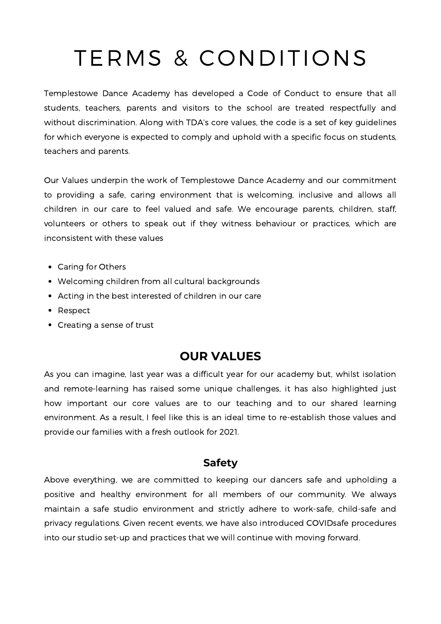# TERMS & CONDITIONS

Templestowe Dance Academy has developed a Code of Conduct to ensure that all students, teachers, parents and visitors to the school are treated respectfully and without discrimination. Along with TDA's core values, the code is a set of key guidelines for which everyone is expected to comply and uphold with a specific focus on students, teachers and parents.

Our Values underpin the work of Templestowe Dance Academy and our commitment to providing a safe, caring environment that is welcoming, inclusive and allows all children in our care to feel valued and safe. We encourage parents, children, staff, volunteers or others to speak out if they witness behaviour or practices, which are inconsistent with these values

- Caring for Others
- Welcoming children from all cultural backgrounds
- Acting in the best interested of children in our care
- Respect
- Creating a sense of trust

### **OUR VALUES**

As you can imagine, last year was a difficult year for our academy but, whilst isolation and remote-learning has raised some unique challenges, it has also highlighted just how important our core values are to our teaching and to our shared learning environment. As a result, I feel like this is an ideal time to re-establish those values and provide our families with a fresh outlook for 2021.

#### **Safety**

Above everything, we are committed to keeping our dancers safe and upholding a positive and healthy environment for all members of our community. We always maintain a safe studio environment and strictly adhere to work-safe, child-safe and privacy regulations. Given recent events, we have also introduced COVIDsafe procedures into our studio set-up and practices that we will continue with moving forward.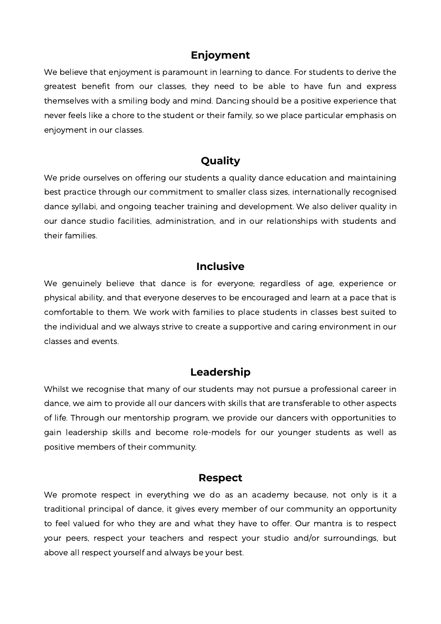#### **Enjoyment**

We believe that enjoyment is paramount in learning to dance. For students to derive the greatest benefit from our classes, they need to be able to have fun and express themselves with a smiling body and mind. Dancing should be a positive experience that never feels like a chore to the student or their family, so we place particular emphasis on enjoyment in our classes.

### **Quality**

We pride ourselves on offering our students a quality dance education and maintaining best practice through our commitment to smaller class sizes, internationally recognised dance syllabi, and ongoing teacher training and development. We also deliver quality in our dance studio facilities, administration, and in our relationships with students and their families.

#### **Inclusive**

We genuinely believe that dance is for everyone; regardless of age, experience or physical ability, and that everyone deserves to be encouraged and learn at a pace that is comfortable to them. We work with families to place students in classes best suited to the individual and we always strive to create a supportive and caring environment in our classes and events.

#### **Leadership**

Whilst we recognise that many of our students may not pursue a professional career in dance, we aim to provide all our dancers with skills that are transferable to other aspects of life. Through our mentorship program, we provide our dancers with opportunities to gain leadership skills and become role-models for our younger students as well as positive members of their community.

#### **Respect**

We promote respect in everything we do as an academy because, not only is it a traditional principal of dance, it gives every member of our community an opportunity to feel valued for who they are and what they have to offer. Our mantra is to respect your peers, respect your teachers and respect your studio and/or surroundings, but above all respect yourself and always be your best.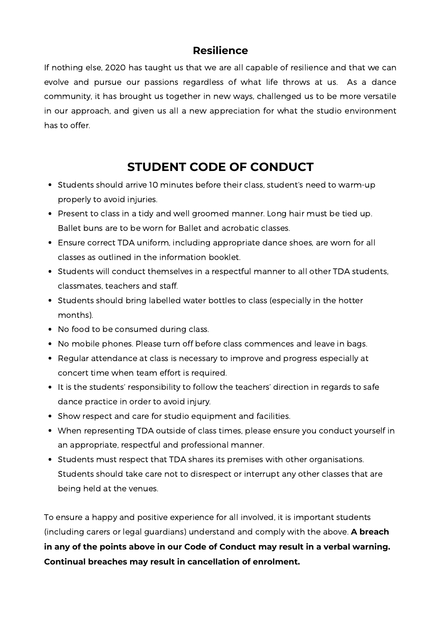### **Resilience**

If nothing else, 2020 has taught us that we are all capable of resilience and that we can evolve and pursue our passions regardless of what life throws at us. As a dance community, it has brought us together in new ways, challenged us to be more versatile in our approach, and given us all a new appreciation for what the studio environment has to offer.

## **STUDENT CODE OF CONDUCT**

- Students should arrive 10 minutes before their class, student's need to warm-up properly to avoid injuries.
- Present to class in a tidy and well groomed manner. Long hair must be tied up. Ballet buns are to be worn for Ballet and acrobatic classes.
- Ensure correct TDA uniform, including appropriate dance shoes, are worn for all classes as outlined in the information booklet.
- Students will conduct themselves in a respectful manner to all other TDA students, classmates, teachers and staff.
- Students should bring labelled water bottles to class (especially in the hotter months).
- No food to be consumed during class.
- No mobile phones. Please turn off before class commences and leave in bags.
- Regular attendance at class is necessary to improve and progress especially at concert time when team effort is required.
- It is the students' responsibility to follow the teachers' direction in regards to safe dance practice in order to avoid injury.
- Show respect and care for studio equipment and facilities.
- When representing TDA outside of class times, please ensure you conduct yourself in an appropriate, respectful and professional manner.
- Students must respect that TDA shares its premises with other organisations. Students should take care not to disrespect or interrupt any other classes that are being held at the venues.

To ensure a happy and positive experience for all involved, it is important students (including carers or legal guardians) understand and comply with the above. **A breach in any of the points above in our Code of Conduct may result in a verbal warning. Continual breaches may result in cancellation of enrolment.**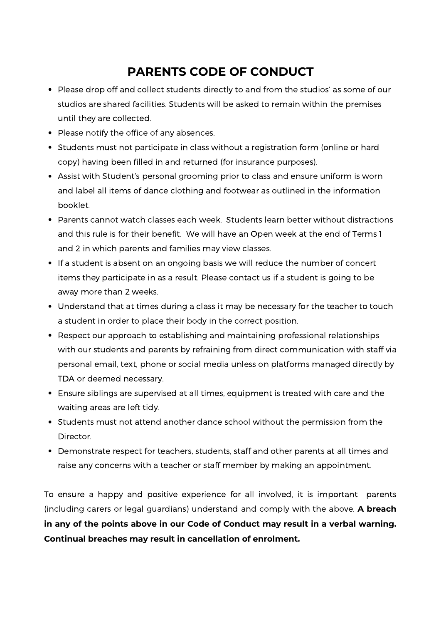## **PARENTS CODE OF CONDUCT**

- Please drop off and collect students directly to and from the studios' as some of our studios are shared facilities. Students will be asked to remain within the premises until they are collected.
- Please notify the office of any absences.
- Students must not participate in class without a registration form (online or hard copy) having been filled in and returned (for insurance purposes).
- Assist with Student's personal grooming prior to class and ensure uniform is worn and label all items of dance clothing and footwear as outlined in the information booklet.
- Parents cannot watch classes each week. Students learn better without distractions and this rule is for their benefit. We will have an Open week at the end of Terms 1 and 2 in which parents and families may view classes.
- If a student is absent on an ongoing basis we will reduce the number of concert items they participate in as a result. Please contact us if a student is going to be away more than 2 weeks.
- Understand that at times during a class it may be necessary for the teacher to touch a student in order to place their body in the correct position.
- Respect our approach to establishing and maintaining professional relationships with our students and parents by refraining from direct communication with staff via personal email, text, phone or social media unless on platforms managed directly by TDA or deemed necessary.
- Ensure siblings are supervised at all times, equipment is treated with care and the waiting areas are left tidy.
- Students must not attend another dance school without the permission from the Director.
- Demonstrate respect for teachers, students, staff and other parents at all times and raise any concerns with a teacher or staff member by making an appointment.

To ensure a happy and positive experience for all involved, it is important parents (including carers or legal guardians) understand and comply with the above. **A breach in any of the points above in our Code of Conduct may result in a verbal warning. Continual breaches may result in cancellation of enrolment.**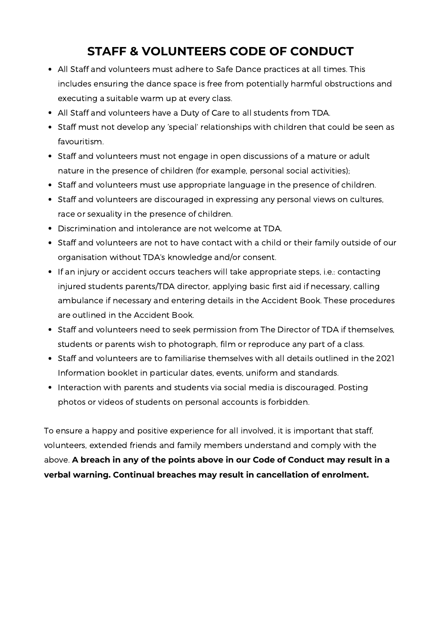## **STAFF & VOLUNTEERS CODE OF CONDUCT**

- All Staff and volunteers must adhere to Safe Dance practices at all times. This includes ensuring the dance space is free from potentially harmful obstructions and executing a suitable warm up at every class.
- All Staff and volunteers have a Duty of Care to all students from TDA.
- Staff must not develop any 'special' relationships with children that could be seen as favouritism.
- Staff and volunteers must not engage in open discussions of a mature or adult nature in the presence of children (for example, personal social activities);
- Staff and volunteers must use appropriate language in the presence of children.
- Staff and volunteers are discouraged in expressing any personal views on cultures, race or sexuality in the presence of children.
- Discrimination and intolerance are not welcome at TDA.
- Staff and volunteers are not to have contact with a child or their family outside of our organisation without TDA's knowledge and/or consent.
- If an injury or accident occurs teachers will take appropriate steps, i.e.: contacting injured students parents/TDA director, applying basic first aid if necessary, calling ambulance if necessary and entering details in the Accident Book. These procedures are outlined in the Accident Book.
- Staff and volunteers need to seek permission from The Director of TDA if themselves, students or parents wish to photograph, film or reproduce any part of a class.
- Staff and volunteers are to familiarise themselves with all details outlined in the 2021 Information booklet in particular dates, events, uniform and standards.
- Interaction with parents and students via social media is discouraged. Posting photos or videos of students on personal accounts is forbidden.

To ensure a happy and positive experience for all involved, it is important that staff, volunteers, extended friends and family members understand and comply with the above. **A breach in any of the points above in our Code of Conduct may result in a verbal warning. Continual breaches may result in cancellation of enrolment.**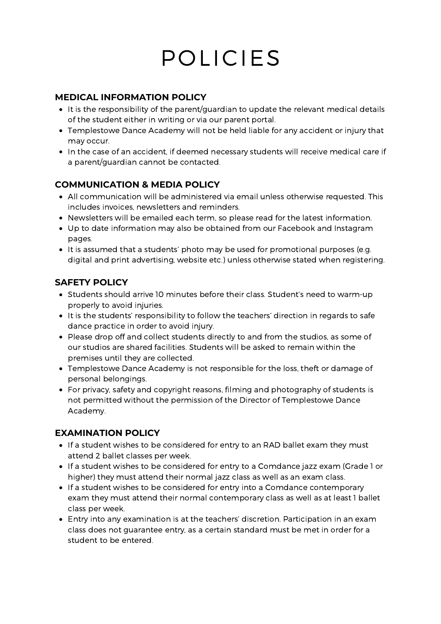# POLICIES

#### **MEDICAL INFORMATION POLICY**

- It is the responsibility of the parent/guardian to update the relevant medical details of the student either in writing or via our parent portal.
- Templestowe Dance Academy will not be held liable for any accident or injury that may occur.
- In the case of an accident, if deemed necessary students will receive medical care if a parent/guardian cannot be contacted.

#### **COMMUNICATION & MEDIA POLICY**

- All communication will be administered via email unless otherwise requested. This includes invoices, newsletters and reminders.
- Newsletters will be emailed each term, so please read for the latest information.
- Up to date information may also be obtained from our Facebook and Instagram pages.
- It is assumed that a students' photo may be used for promotional purposes (e.g. digital and print advertising, website etc.) unless otherwise stated when registering.

#### **SAFETY POLICY**

- Students should arrive 10 minutes before their class. Student's need to warm-up properly to avoid injuries.
- It is the students' responsibility to follow the teachers' direction in regards to safe dance practice in order to avoid injury.
- Please drop off and collect students directly to and from the studios, as some of our studios are shared facilities. Students will be asked to remain within the premises until they are collected.
- Templestowe Dance Academy is not responsible for the loss, theft or damage of personal belongings.
- For privacy, safety and copyright reasons, filming and photography of students is not permitted without the permission of the Director of Templestowe Dance Academy.

#### **EXAMINATION POLICY**

- If a student wishes to be considered for entry to an RAD ballet exam they must attend 2 ballet classes per week.
- If a student wishes to be considered for entry to a Comdance jazz exam (Grade 1 or higher) they must attend their normal jazz class as well as an exam class.
- If a student wishes to be considered for entry into a Comdance contemporary exam they must attend their normal contemporary class as well as at least 1 ballet class per week.
- Entry into any examination is at the teachers' discretion. Participation in an exam class does not guarantee entry, as a certain standard must be met in order for a student to be entered.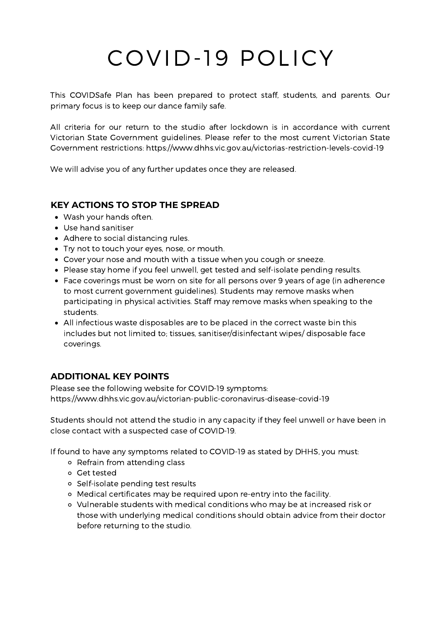# COVID-19 POLICY

This COVIDSafe Plan has been prepared to protect staff, students, and parents. Our primary focus is to keep our dance family safe.

All criteria for our return to the studio after lockdown is in accordance with current Victorian State Government guidelines. Please refer to the most current Victorian State Government restrictions: <https://www.dhhs.vic.gov.au/victorias-restriction-levels-covid-19>

We will advise you of any further updates once they are released.

#### **KEY ACTIONS TO STOP THE SPREAD**

- Wash your hands often.
- Use hand sanitiser
- Adhere to social distancing rules.
- Try not to touch your eyes, nose, or mouth.
- Cover your nose and mouth with a tissue when you cough or sneeze.
- Please stay home if you feel unwell, get tested and self-isolate pending results.
- Face coverings must be worn on site for all persons over 9 years of age (in adherence to most current government guidelines). Students may remove masks when participating in physical activities. Staff may remove masks when speaking to the students.
- All infectious waste disposables are to be placed in the correct waste bin this includes but not limited to; tissues, sanitiser/disinfectant wipes/ disposable face coverings.

#### **ADDITIONAL KEY POINTS**

Please see the following website for COVID-19 symptoms: https://www.dhhs.vic.gov.au/victorian-public-coronavirus-disease-covid-19

Students should not attend the studio in any capacity if they feel unwell or have been in close contact with a suspected case of COVID-19.

If found to have any symptoms related to COVID-19 as stated by DHHS, you must:

- Refrain from attending class
- Get tested
- Self-isolate pending test results
- Medical certificates may be required upon re-entry into the facility.
- Vulnerable students with medical conditions who may be at increased risk or those with underlying medical conditions should obtain advice from their doctor before returning to the studio.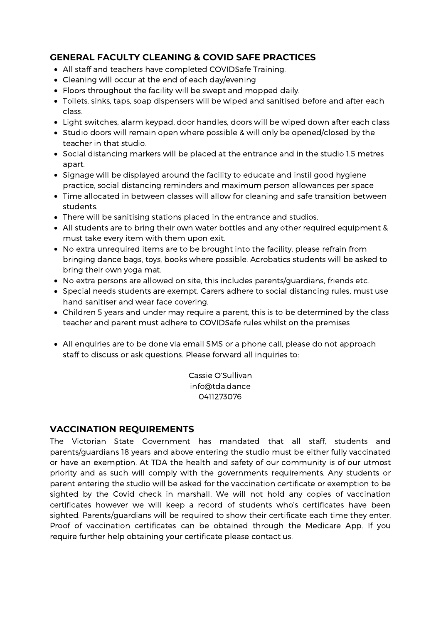#### **GENERAL FACULTY CLEANING & COVID SAFE PRACTICES**

- All staff and teachers have completed COVIDSafe Training.
- Cleaning will occur at the end of each day/evening
- Floors throughout the facility will be swept and mopped daily.
- Toilets, sinks, taps, soap dispensers will be wiped and sanitised before and after each class.
- Light switches, alarm keypad, door handles, doors will be wiped down after each class
- Studio doors will remain open where possible & will only be opened/closed by the teacher in that studio.
- Social distancing markers will be placed at the entrance and in the studio 1.5 metres apart.
- Signage will be displayed around the facility to educate and instil good hygiene practice, social distancing reminders and maximum person allowances per space
- Time allocated in between classes will allow for cleaning and safe transition between students.
- There will be sanitising stations placed in the entrance and studios.
- All students are to bring their own water bottles and any other required equipment & must take every item with them upon exit.
- No extra unrequired items are to be brought into the facility, please refrain from bringing dance bags, toys, books where possible. Acrobatics students will be asked to bring their own yoga mat.
- No extra persons are allowed on site, this includes parents/guardians, friends etc.
- Special needs students are exempt. Carers adhere to social distancing rules, must use hand sanitiser and wear face covering.
- Children 5 years and under may require a parent, this is to be determined by the class teacher and parent must adhere to COVIDSafe rules whilst on the premises
- All enquiries are to be done via email SMS or a phone call, please do not approach staff to discuss or ask questions. Please forward all inquiries to:

Cassie O'Sullivan [info@tda.dance](mailto:info@tda.dance) 0411273076

#### **VACCINATION REQUIREMENTS**

The Victorian State Government has mandated that all staff, students and parents/guardians 18 years and above entering the studio must be either fully vaccinated or have an exemption. At TDA the health and safety of our community is of our utmost priority and as such will comply with the governments requirements. Any students or parent entering the studio will be asked for the vaccination certificate or exemption to be sighted by the Covid check in marshall. We will not hold any copies of vaccination certificates however we will keep a record of students who's certificates have been sighted. Parents/guardians will be required to show their certificate each time they enter. Proof of vaccination certificates can be obtained through the Medicare App. If you require further help obtaining your certificate please contact us.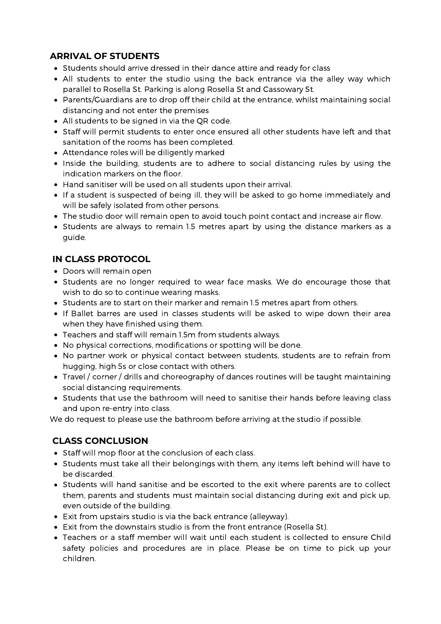#### **ARRIVAL OF STUDENTS**

- Students should arrive dressed in their dance attire and ready for class
- All students to enter the studio using the back entrance via the alley way which parallel to Rosella St. Parking is along Rosella St and Cassowary St.
- Parents/Guardians are to drop off their child at the entrance, whilst maintaining social distancing and not enter the premises
- All students to be signed in via the QR code.
- Staff will permit students to enter once ensured all other students have left and that sanitation of the rooms has been completed.
- Attendance roles will be diligently marked
- Inside the building, students are to adhere to social distancing rules by using the indication markers on the floor.
- Hand sanitiser will be used on all students upon their arrival.
- If a student is suspected of being ill, they will be asked to go home immediately and will be safely isolated from other persons.
- The studio door will remain open to avoid touch point contact and increase air flow.
- Students are always to remain 1.5 metres apart by using the distance markers as a guide.

#### **IN CLASS PROTOCOL**

- Doors will remain open
- Students are no longer required to wear face masks. We do encourage those that wish to do so to continue wearing masks.
- Students are to start on their marker and remain 1.5 metres apart from others.
- If Ballet barres are used in classes students will be asked to wipe down their area when they have finished using them.
- Teachers and staff will remain 1.5m from students always.
- No physical corrections, modifications or spotting will be done.
- No partner work or physical contact between students, students are to refrain from hugging, high 5s or close contact with others.
- Travel / corner / drills and choreography of dances routines will be taught maintaining social distancing requirements.
- Students that use the bathroom will need to sanitise their hands before leaving class and upon re-entry into class.

We do request to please use the bathroom before arriving at the studio if possible.

#### **CLASS CONCLUSION**

- Staff will mop floor at the conclusion of each class.
- Students must take all their belongings with them, any items left behind will have to be discarded.
- Students will hand sanitise and be escorted to the exit where parents are to collect them, parents and students must maintain social distancing during exit and pick up, even outside of the building.
- Exit from upstairs studio is via the back entrance (alleyway).
- Exit from the downstairs studio is from the front entrance (Rosella St).
- Teachers or a staff member will wait until each student is collected to ensure Child safety policies and procedures are in place. Please be on time to pick up your children.